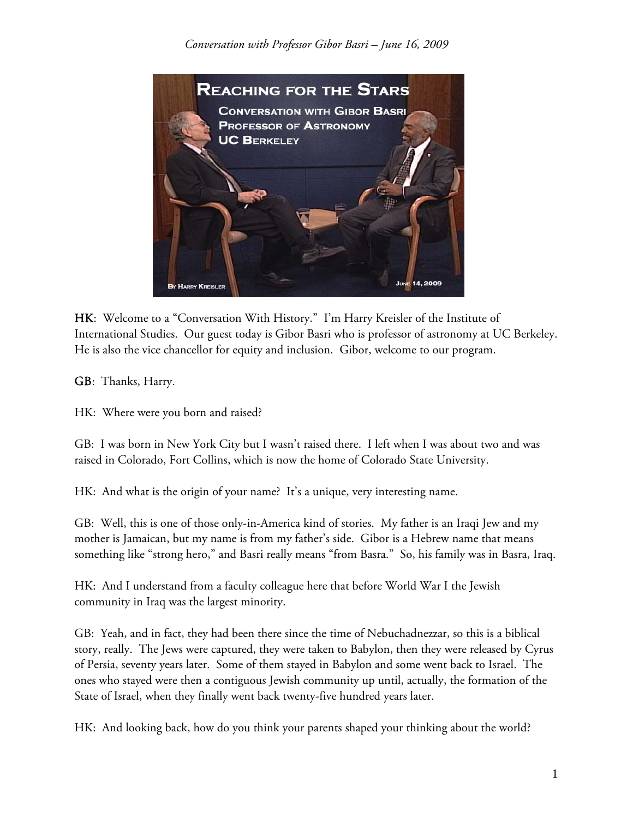

HK: Welcome to a "Conversation With History." I'm Harry Kreisler of the Institute of International Studies. Our guest today is Gibor Basri who is professor of astronomy at UC Berkeley. He is also the vice chancellor for equity and inclusion. Gibor, welcome to our program.

GB: Thanks, Harry.

HK: Where were you born and raised?

GB: I was born in New York City but I wasn't raised there. I left when I was about two and was raised in Colorado, Fort Collins, which is now the home of Colorado State University.

HK: And what is the origin of your name? It's a unique, very interesting name.

GB: Well, this is one of those only-in-America kind of stories. My father is an Iraqi Jew and my mother is Jamaican, but my name is from my father's side. Gibor is a Hebrew name that means something like "strong hero," and Basri really means "from Basra." So, his family was in Basra, Iraq.

HK: And I understand from a faculty colleague here that before World War I the Jewish community in Iraq was the largest minority.

GB: Yeah, and in fact, they had been there since the time of Nebuchadnezzar, so this is a biblical story, really. The Jews were captured, they were taken to Babylon, then they were released by Cyrus of Persia, seventy years later. Some of them stayed in Babylon and some went back to Israel. The ones who stayed were then a contiguous Jewish community up until, actually, the formation of the State of Israel, when they finally went back twenty-five hundred years later.

HK: And looking back, how do you think your parents shaped your thinking about the world?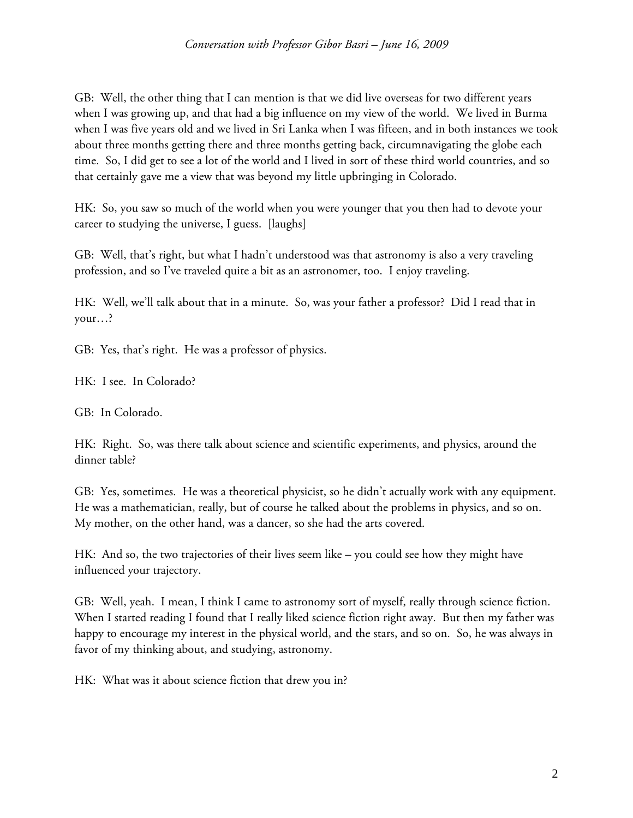GB: Well, the other thing that I can mention is that we did live overseas for two different years when I was growing up, and that had a big influence on my view of the world. We lived in Burma when I was five years old and we lived in Sri Lanka when I was fifteen, and in both instances we took about three months getting there and three months getting back, circumnavigating the globe each time. So, I did get to see a lot of the world and I lived in sort of these third world countries, and so that certainly gave me a view that was beyond my little upbringing in Colorado.

HK: So, you saw so much of the world when you were younger that you then had to devote your career to studying the universe, I guess. [laughs]

GB: Well, that's right, but what I hadn't understood was that astronomy is also a very traveling profession, and so I've traveled quite a bit as an astronomer, too. I enjoy traveling.

HK: Well, we'll talk about that in a minute. So, was your father a professor? Did I read that in your…?

GB: Yes, that's right. He was a professor of physics.

HK: I see. In Colorado?

GB: In Colorado.

HK: Right. So, was there talk about science and scientific experiments, and physics, around the dinner table?

GB: Yes, sometimes. He was a theoretical physicist, so he didn't actually work with any equipment. He was a mathematician, really, but of course he talked about the problems in physics, and so on. My mother, on the other hand, was a dancer, so she had the arts covered.

HK: And so, the two trajectories of their lives seem like – you could see how they might have influenced your trajectory.

GB: Well, yeah. I mean, I think I came to astronomy sort of myself, really through science fiction. When I started reading I found that I really liked science fiction right away. But then my father was happy to encourage my interest in the physical world, and the stars, and so on. So, he was always in favor of my thinking about, and studying, astronomy.

HK: What was it about science fiction that drew you in?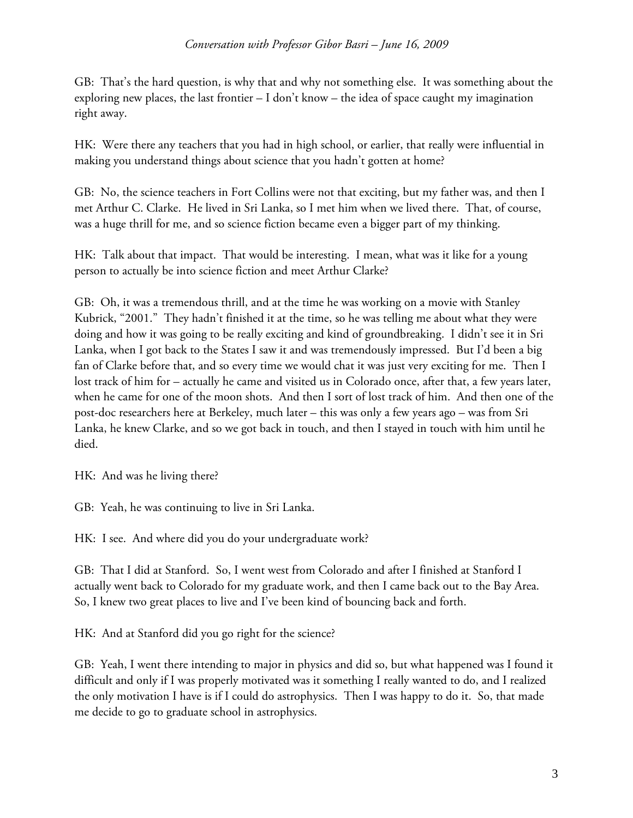GB: That's the hard question, is why that and why not something else. It was something about the exploring new places, the last frontier – I don't know – the idea of space caught my imagination right away.

HK: Were there any teachers that you had in high school, or earlier, that really were influential in making you understand things about science that you hadn't gotten at home?

GB: No, the science teachers in Fort Collins were not that exciting, but my father was, and then I met Arthur C. Clarke. He lived in Sri Lanka, so I met him when we lived there. That, of course, was a huge thrill for me, and so science fiction became even a bigger part of my thinking.

HK: Talk about that impact. That would be interesting. I mean, what was it like for a young person to actually be into science fiction and meet Arthur Clarke?

GB: Oh, it was a tremendous thrill, and at the time he was working on a movie with Stanley Kubrick, "2001." They hadn't finished it at the time, so he was telling me about what they were doing and how it was going to be really exciting and kind of groundbreaking. I didn't see it in Sri Lanka, when I got back to the States I saw it and was tremendously impressed. But I'd been a big fan of Clarke before that, and so every time we would chat it was just very exciting for me. Then I lost track of him for – actually he came and visited us in Colorado once, after that, a few years later, when he came for one of the moon shots. And then I sort of lost track of him. And then one of the post-doc researchers here at Berkeley, much later – this was only a few years ago – was from Sri Lanka, he knew Clarke, and so we got back in touch, and then I stayed in touch with him until he died.

HK: And was he living there?

GB: Yeah, he was continuing to live in Sri Lanka.

HK: I see. And where did you do your undergraduate work?

GB: That I did at Stanford. So, I went west from Colorado and after I finished at Stanford I actually went back to Colorado for my graduate work, and then I came back out to the Bay Area. So, I knew two great places to live and I've been kind of bouncing back and forth.

HK: And at Stanford did you go right for the science?

GB: Yeah, I went there intending to major in physics and did so, but what happened was I found it difficult and only if I was properly motivated was it something I really wanted to do, and I realized the only motivation I have is if I could do astrophysics. Then I was happy to do it. So, that made me decide to go to graduate school in astrophysics.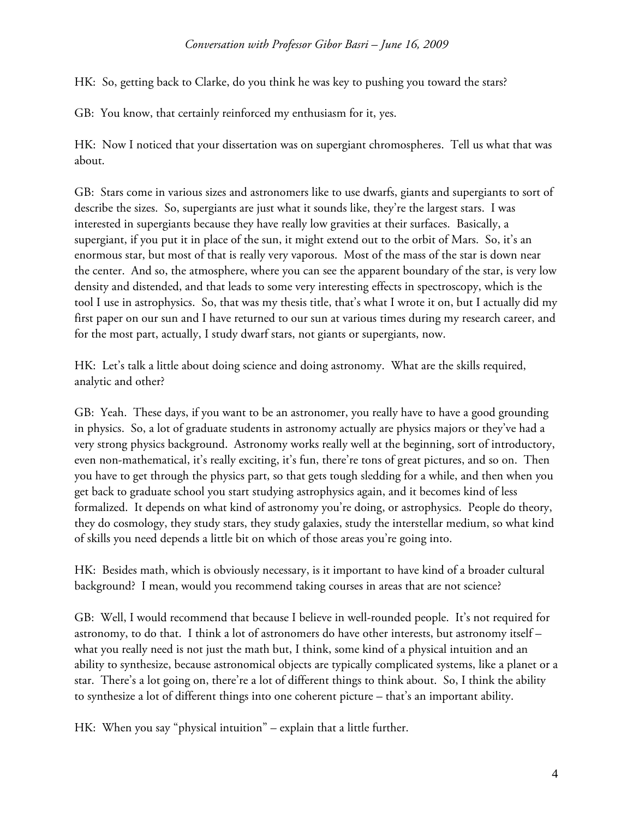## *Conversation with Professor Gibor Basri – June 16, 2009*

HK: So, getting back to Clarke, do you think he was key to pushing you toward the stars?

GB: You know, that certainly reinforced my enthusiasm for it, yes.

HK: Now I noticed that your dissertation was on supergiant chromospheres. Tell us what that was about.

GB: Stars come in various sizes and astronomers like to use dwarfs, giants and supergiants to sort of describe the sizes. So, supergiants are just what it sounds like, they're the largest stars. I was interested in supergiants because they have really low gravities at their surfaces. Basically, a supergiant, if you put it in place of the sun, it might extend out to the orbit of Mars. So, it's an enormous star, but most of that is really very vaporous. Most of the mass of the star is down near the center. And so, the atmosphere, where you can see the apparent boundary of the star, is very low density and distended, and that leads to some very interesting effects in spectroscopy, which is the tool I use in astrophysics. So, that was my thesis title, that's what I wrote it on, but I actually did my first paper on our sun and I have returned to our sun at various times during my research career, and for the most part, actually, I study dwarf stars, not giants or supergiants, now.

HK: Let's talk a little about doing science and doing astronomy. What are the skills required, analytic and other?

GB: Yeah. These days, if you want to be an astronomer, you really have to have a good grounding in physics. So, a lot of graduate students in astronomy actually are physics majors or they've had a very strong physics background. Astronomy works really well at the beginning, sort of introductory, even non-mathematical, it's really exciting, it's fun, there're tons of great pictures, and so on. Then you have to get through the physics part, so that gets tough sledding for a while, and then when you get back to graduate school you start studying astrophysics again, and it becomes kind of less formalized. It depends on what kind of astronomy you're doing, or astrophysics. People do theory, they do cosmology, they study stars, they study galaxies, study the interstellar medium, so what kind of skills you need depends a little bit on which of those areas you're going into.

HK: Besides math, which is obviously necessary, is it important to have kind of a broader cultural background? I mean, would you recommend taking courses in areas that are not science?

GB: Well, I would recommend that because I believe in well-rounded people. It's not required for astronomy, to do that. I think a lot of astronomers do have other interests, but astronomy itself – what you really need is not just the math but, I think, some kind of a physical intuition and an ability to synthesize, because astronomical objects are typically complicated systems, like a planet or a star. There's a lot going on, there're a lot of different things to think about. So, I think the ability to synthesize a lot of different things into one coherent picture – that's an important ability.

HK: When you say "physical intuition" – explain that a little further.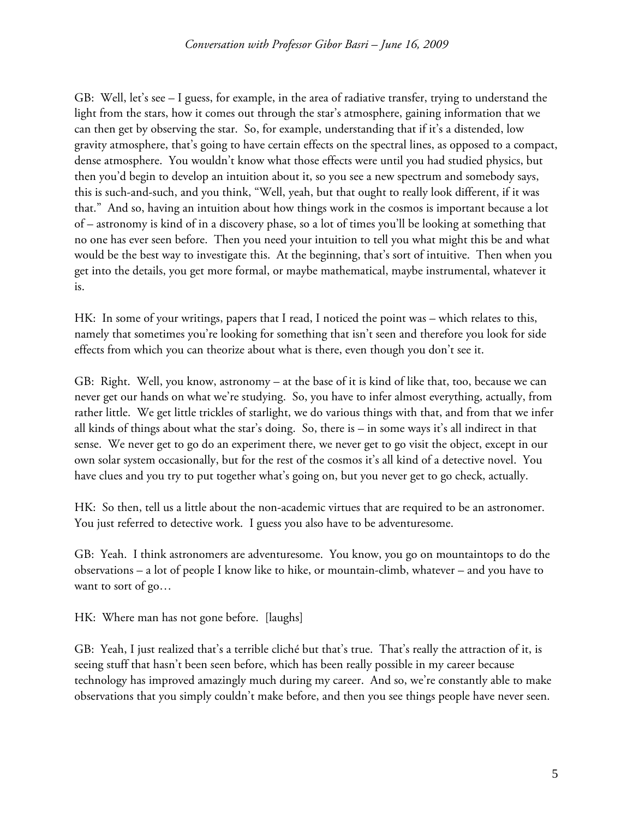GB: Well, let's see – I guess, for example, in the area of radiative transfer, trying to understand the light from the stars, how it comes out through the star's atmosphere, gaining information that we can then get by observing the star. So, for example, understanding that if it's a distended, low gravity atmosphere, that's going to have certain effects on the spectral lines, as opposed to a compact, dense atmosphere. You wouldn't know what those effects were until you had studied physics, but then you'd begin to develop an intuition about it, so you see a new spectrum and somebody says, this is such-and-such, and you think, "Well, yeah, but that ought to really look different, if it was that." And so, having an intuition about how things work in the cosmos is important because a lot of – astronomy is kind of in a discovery phase, so a lot of times you'll be looking at something that no one has ever seen before. Then you need your intuition to tell you what might this be and what would be the best way to investigate this. At the beginning, that's sort of intuitive. Then when you get into the details, you get more formal, or maybe mathematical, maybe instrumental, whatever it is.

HK: In some of your writings, papers that I read, I noticed the point was – which relates to this, namely that sometimes you're looking for something that isn't seen and therefore you look for side effects from which you can theorize about what is there, even though you don't see it.

GB: Right. Well, you know, astronomy – at the base of it is kind of like that, too, because we can never get our hands on what we're studying. So, you have to infer almost everything, actually, from rather little. We get little trickles of starlight, we do various things with that, and from that we infer all kinds of things about what the star's doing. So, there is – in some ways it's all indirect in that sense. We never get to go do an experiment there, we never get to go visit the object, except in our own solar system occasionally, but for the rest of the cosmos it's all kind of a detective novel. You have clues and you try to put together what's going on, but you never get to go check, actually.

HK: So then, tell us a little about the non-academic virtues that are required to be an astronomer. You just referred to detective work. I guess you also have to be adventuresome.

GB: Yeah. I think astronomers are adventuresome. You know, you go on mountaintops to do the observations – a lot of people I know like to hike, or mountain-climb, whatever – and you have to want to sort of go…

HK: Where man has not gone before. [laughs]

GB: Yeah, I just realized that's a terrible cliché but that's true. That's really the attraction of it, is seeing stuff that hasn't been seen before, which has been really possible in my career because technology has improved amazingly much during my career. And so, we're constantly able to make observations that you simply couldn't make before, and then you see things people have never seen.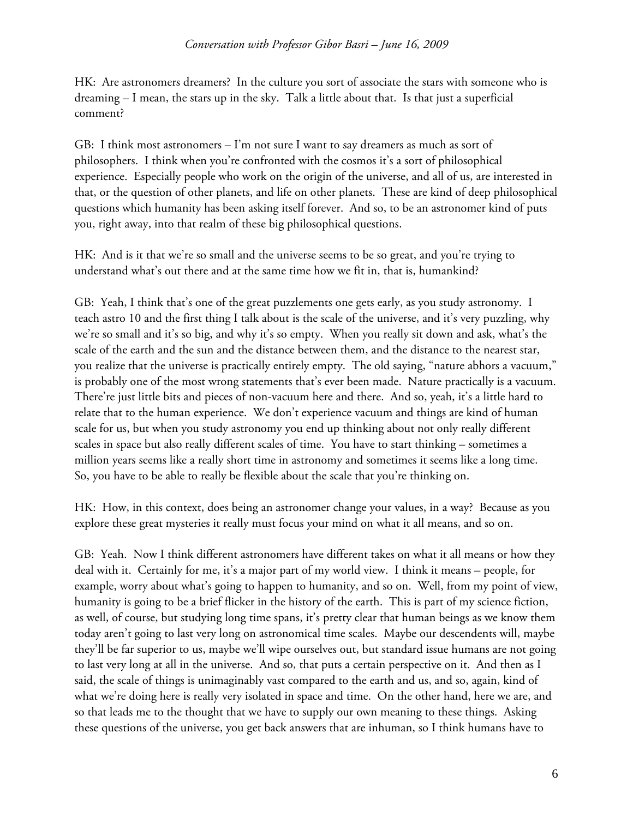## *Conversation with Professor Gibor Basri – June 16, 2009*

HK: Are astronomers dreamers? In the culture you sort of associate the stars with someone who is dreaming – I mean, the stars up in the sky. Talk a little about that. Is that just a superficial comment?

GB: I think most astronomers  $-1$ 'm not sure I want to say dreamers as much as sort of philosophers. I think when you're confronted with the cosmos it's a sort of philosophical experience. Especially people who work on the origin of the universe, and all of us, are interested in that, or the question of other planets, and life on other planets. These are kind of deep philosophical questions which humanity has been asking itself forever. And so, to be an astronomer kind of puts you, right away, into that realm of these big philosophical questions.

HK: And is it that we're so small and the universe seems to be so great, and you're trying to understand what's out there and at the same time how we fit in, that is, humankind?

GB: Yeah, I think that's one of the great puzzlements one gets early, as you study astronomy. I teach astro 10 and the first thing I talk about is the scale of the universe, and it's very puzzling, why we're so small and it's so big, and why it's so empty. When you really sit down and ask, what's the scale of the earth and the sun and the distance between them, and the distance to the nearest star, you realize that the universe is practically entirely empty. The old saying, "nature abhors a vacuum," is probably one of the most wrong statements that's ever been made. Nature practically is a vacuum. There're just little bits and pieces of non-vacuum here and there. And so, yeah, it's a little hard to relate that to the human experience. We don't experience vacuum and things are kind of human scale for us, but when you study astronomy you end up thinking about not only really different scales in space but also really different scales of time. You have to start thinking – sometimes a million years seems like a really short time in astronomy and sometimes it seems like a long time. So, you have to be able to really be flexible about the scale that you're thinking on.

HK: How, in this context, does being an astronomer change your values, in a way? Because as you explore these great mysteries it really must focus your mind on what it all means, and so on.

GB: Yeah. Now I think different astronomers have different takes on what it all means or how they deal with it. Certainly for me, it's a major part of my world view. I think it means – people, for example, worry about what's going to happen to humanity, and so on. Well, from my point of view, humanity is going to be a brief flicker in the history of the earth. This is part of my science fiction, as well, of course, but studying long time spans, it's pretty clear that human beings as we know them today aren't going to last very long on astronomical time scales. Maybe our descendents will, maybe they'll be far superior to us, maybe we'll wipe ourselves out, but standard issue humans are not going to last very long at all in the universe. And so, that puts a certain perspective on it. And then as I said, the scale of things is unimaginably vast compared to the earth and us, and so, again, kind of what we're doing here is really very isolated in space and time. On the other hand, here we are, and so that leads me to the thought that we have to supply our own meaning to these things. Asking these questions of the universe, you get back answers that are inhuman, so I think humans have to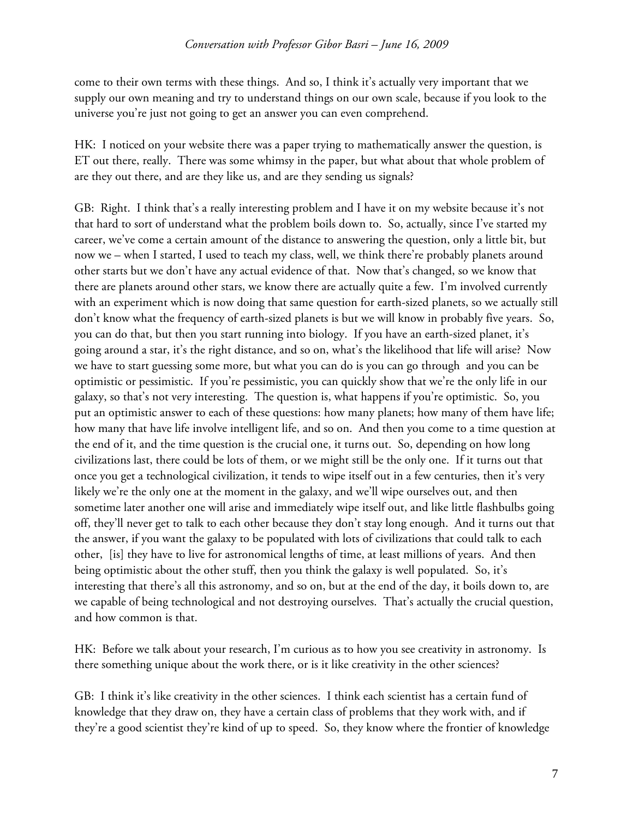come to their own terms with these things. And so, I think it's actually very important that we supply our own meaning and try to understand things on our own scale, because if you look to the universe you're just not going to get an answer you can even comprehend.

HK: I noticed on your website there was a paper trying to mathematically answer the question, is ET out there, really. There was some whimsy in the paper, but what about that whole problem of are they out there, and are they like us, and are they sending us signals?

GB: Right. I think that's a really interesting problem and I have it on my website because it's not that hard to sort of understand what the problem boils down to. So, actually, since I've started my career, we've come a certain amount of the distance to answering the question, only a little bit, but now we – when I started, I used to teach my class, well, we think there're probably planets around other starts but we don't have any actual evidence of that. Now that's changed, so we know that there are planets around other stars, we know there are actually quite a few. I'm involved currently with an experiment which is now doing that same question for earth-sized planets, so we actually still don't know what the frequency of earth-sized planets is but we will know in probably five years. So, you can do that, but then you start running into biology. If you have an earth-sized planet, it's going around a star, it's the right distance, and so on, what's the likelihood that life will arise? Now we have to start guessing some more, but what you can do is you can go through and you can be optimistic or pessimistic. If you're pessimistic, you can quickly show that we're the only life in our galaxy, so that's not very interesting. The question is, what happens if you're optimistic. So, you put an optimistic answer to each of these questions: how many planets; how many of them have life; how many that have life involve intelligent life, and so on. And then you come to a time question at the end of it, and the time question is the crucial one, it turns out. So, depending on how long civilizations last, there could be lots of them, or we might still be the only one. If it turns out that once you get a technological civilization, it tends to wipe itself out in a few centuries, then it's very likely we're the only one at the moment in the galaxy, and we'll wipe ourselves out, and then sometime later another one will arise and immediately wipe itself out, and like little flashbulbs going off, they'll never get to talk to each other because they don't stay long enough. And it turns out that the answer, if you want the galaxy to be populated with lots of civilizations that could talk to each other, [is] they have to live for astronomical lengths of time, at least millions of years. And then being optimistic about the other stuff, then you think the galaxy is well populated. So, it's interesting that there's all this astronomy, and so on, but at the end of the day, it boils down to, are we capable of being technological and not destroying ourselves. That's actually the crucial question, and how common is that.

HK: Before we talk about your research, I'm curious as to how you see creativity in astronomy. Is there something unique about the work there, or is it like creativity in the other sciences?

GB: I think it's like creativity in the other sciences. I think each scientist has a certain fund of knowledge that they draw on, they have a certain class of problems that they work with, and if they're a good scientist they're kind of up to speed. So, they know where the frontier of knowledge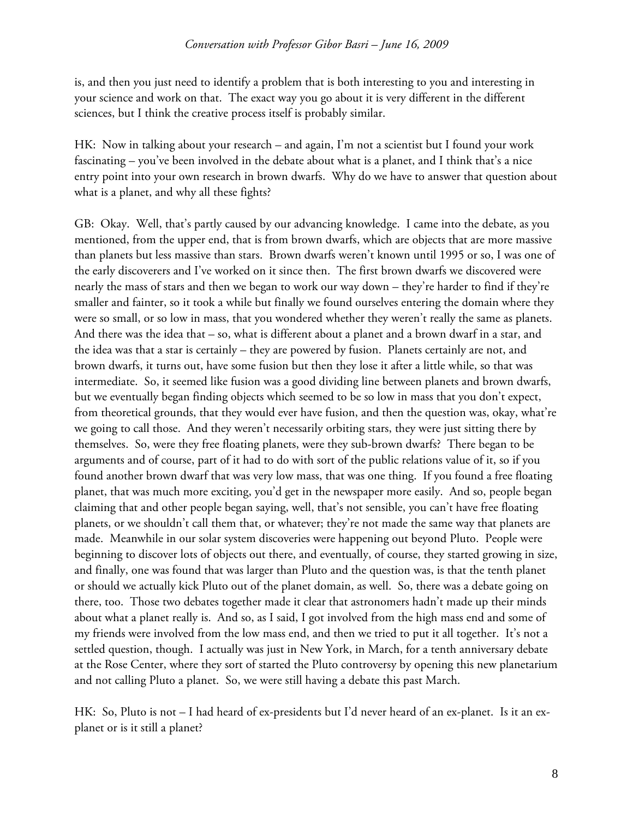is, and then you just need to identify a problem that is both interesting to you and interesting in your science and work on that. The exact way you go about it is very different in the different sciences, but I think the creative process itself is probably similar.

HK: Now in talking about your research – and again, I'm not a scientist but I found your work fascinating – you've been involved in the debate about what is a planet, and I think that's a nice entry point into your own research in brown dwarfs. Why do we have to answer that question about what is a planet, and why all these fights?

GB: Okay. Well, that's partly caused by our advancing knowledge. I came into the debate, as you mentioned, from the upper end, that is from brown dwarfs, which are objects that are more massive than planets but less massive than stars. Brown dwarfs weren't known until 1995 or so, I was one of the early discoverers and I've worked on it since then. The first brown dwarfs we discovered were nearly the mass of stars and then we began to work our way down – they're harder to find if they're smaller and fainter, so it took a while but finally we found ourselves entering the domain where they were so small, or so low in mass, that you wondered whether they weren't really the same as planets. And there was the idea that – so, what is different about a planet and a brown dwarf in a star, and the idea was that a star is certainly – they are powered by fusion. Planets certainly are not, and brown dwarfs, it turns out, have some fusion but then they lose it after a little while, so that was intermediate. So, it seemed like fusion was a good dividing line between planets and brown dwarfs, but we eventually began finding objects which seemed to be so low in mass that you don't expect, from theoretical grounds, that they would ever have fusion, and then the question was, okay, what're we going to call those. And they weren't necessarily orbiting stars, they were just sitting there by themselves. So, were they free floating planets, were they sub-brown dwarfs? There began to be arguments and of course, part of it had to do with sort of the public relations value of it, so if you found another brown dwarf that was very low mass, that was one thing. If you found a free floating planet, that was much more exciting, you'd get in the newspaper more easily. And so, people began claiming that and other people began saying, well, that's not sensible, you can't have free floating planets, or we shouldn't call them that, or whatever; they're not made the same way that planets are made. Meanwhile in our solar system discoveries were happening out beyond Pluto. People were beginning to discover lots of objects out there, and eventually, of course, they started growing in size, and finally, one was found that was larger than Pluto and the question was, is that the tenth planet or should we actually kick Pluto out of the planet domain, as well. So, there was a debate going on there, too. Those two debates together made it clear that astronomers hadn't made up their minds about what a planet really is. And so, as I said, I got involved from the high mass end and some of my friends were involved from the low mass end, and then we tried to put it all together. It's not a settled question, though. I actually was just in New York, in March, for a tenth anniversary debate at the Rose Center, where they sort of started the Pluto controversy by opening this new planetarium and not calling Pluto a planet. So, we were still having a debate this past March.

HK: So, Pluto is not – I had heard of ex-presidents but I'd never heard of an ex-planet. Is it an explanet or is it still a planet?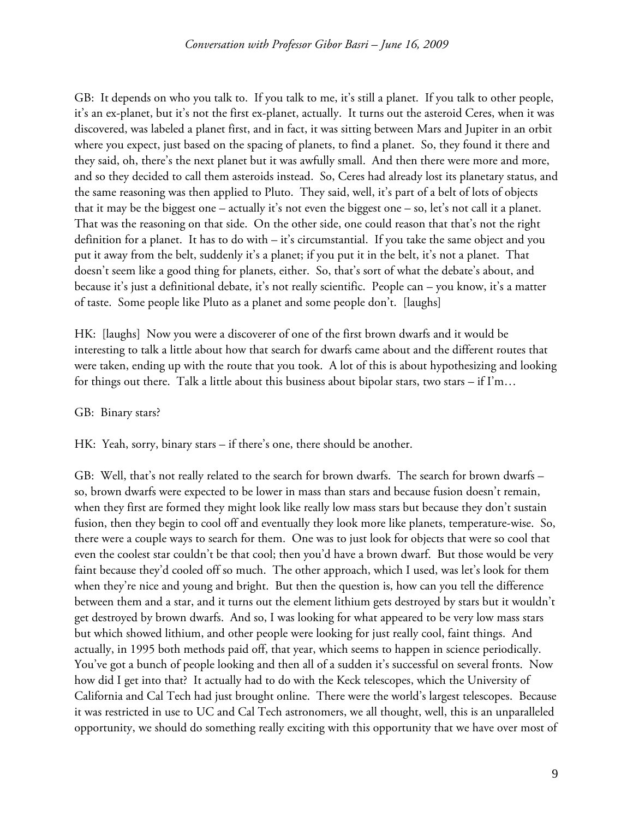GB: It depends on who you talk to. If you talk to me, it's still a planet. If you talk to other people, it's an ex-planet, but it's not the first ex-planet, actually. It turns out the asteroid Ceres, when it was discovered, was labeled a planet first, and in fact, it was sitting between Mars and Jupiter in an orbit where you expect, just based on the spacing of planets, to find a planet. So, they found it there and they said, oh, there's the next planet but it was awfully small. And then there were more and more, and so they decided to call them asteroids instead. So, Ceres had already lost its planetary status, and the same reasoning was then applied to Pluto. They said, well, it's part of a belt of lots of objects that it may be the biggest one – actually it's not even the biggest one – so, let's not call it a planet. That was the reasoning on that side. On the other side, one could reason that that's not the right definition for a planet. It has to do with – it's circumstantial. If you take the same object and you put it away from the belt, suddenly it's a planet; if you put it in the belt, it's not a planet. That doesn't seem like a good thing for planets, either. So, that's sort of what the debate's about, and because it's just a definitional debate, it's not really scientific. People can – you know, it's a matter of taste. Some people like Pluto as a planet and some people don't. [laughs]

HK: [laughs] Now you were a discoverer of one of the first brown dwarfs and it would be interesting to talk a little about how that search for dwarfs came about and the different routes that were taken, ending up with the route that you took. A lot of this is about hypothesizing and looking for things out there. Talk a little about this business about bipolar stars, two stars – if  $\Gamma$ m...

## GB: Binary stars?

HK: Yeah, sorry, binary stars – if there's one, there should be another.

GB: Well, that's not really related to the search for brown dwarfs. The search for brown dwarfs – so, brown dwarfs were expected to be lower in mass than stars and because fusion doesn't remain, when they first are formed they might look like really low mass stars but because they don't sustain fusion, then they begin to cool off and eventually they look more like planets, temperature-wise. So, there were a couple ways to search for them. One was to just look for objects that were so cool that even the coolest star couldn't be that cool; then you'd have a brown dwarf. But those would be very faint because they'd cooled off so much. The other approach, which I used, was let's look for them when they're nice and young and bright. But then the question is, how can you tell the difference between them and a star, and it turns out the element lithium gets destroyed by stars but it wouldn't get destroyed by brown dwarfs. And so, I was looking for what appeared to be very low mass stars but which showed lithium, and other people were looking for just really cool, faint things. And actually, in 1995 both methods paid off, that year, which seems to happen in science periodically. You've got a bunch of people looking and then all of a sudden it's successful on several fronts. Now how did I get into that? It actually had to do with the Keck telescopes, which the University of California and Cal Tech had just brought online. There were the world's largest telescopes. Because it was restricted in use to UC and Cal Tech astronomers, we all thought, well, this is an unparalleled opportunity, we should do something really exciting with this opportunity that we have over most of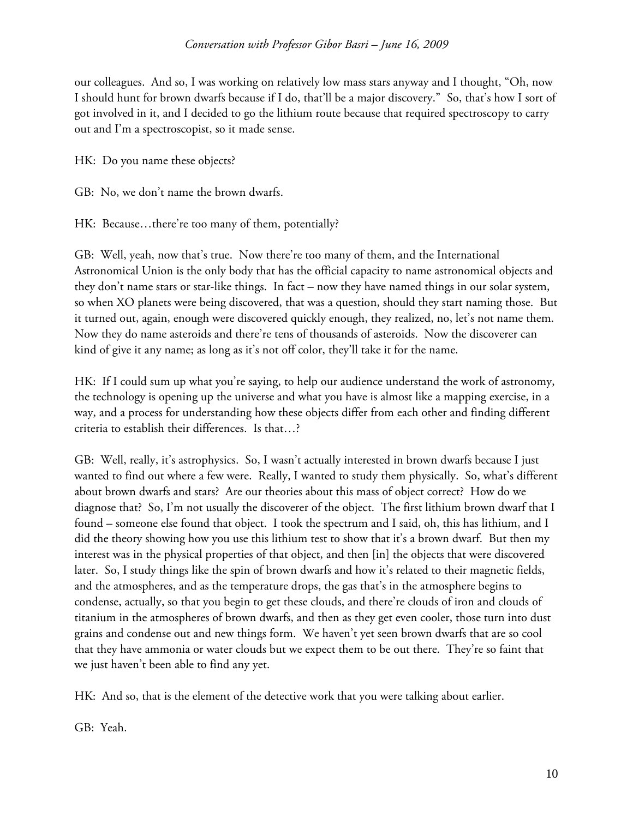our colleagues. And so, I was working on relatively low mass stars anyway and I thought, "Oh, now I should hunt for brown dwarfs because if I do, that'll be a major discovery." So, that's how I sort of got involved in it, and I decided to go the lithium route because that required spectroscopy to carry out and I'm a spectroscopist, so it made sense.

HK: Do you name these objects?

GB: No, we don't name the brown dwarfs.

HK: Because…there're too many of them, potentially?

GB: Well, yeah, now that's true. Now there're too many of them, and the International Astronomical Union is the only body that has the official capacity to name astronomical objects and they don't name stars or star-like things. In fact – now they have named things in our solar system, so when XO planets were being discovered, that was a question, should they start naming those. But it turned out, again, enough were discovered quickly enough, they realized, no, let's not name them. Now they do name asteroids and there're tens of thousands of asteroids. Now the discoverer can kind of give it any name; as long as it's not off color, they'll take it for the name.

HK: If I could sum up what you're saying, to help our audience understand the work of astronomy, the technology is opening up the universe and what you have is almost like a mapping exercise, in a way, and a process for understanding how these objects differ from each other and finding different criteria to establish their differences. Is that…?

GB: Well, really, it's astrophysics. So, I wasn't actually interested in brown dwarfs because I just wanted to find out where a few were. Really, I wanted to study them physically. So, what's different about brown dwarfs and stars? Are our theories about this mass of object correct? How do we diagnose that? So, I'm not usually the discoverer of the object. The first lithium brown dwarf that I found – someone else found that object. I took the spectrum and I said, oh, this has lithium, and I did the theory showing how you use this lithium test to show that it's a brown dwarf. But then my interest was in the physical properties of that object, and then [in] the objects that were discovered later. So, I study things like the spin of brown dwarfs and how it's related to their magnetic fields, and the atmospheres, and as the temperature drops, the gas that's in the atmosphere begins to condense, actually, so that you begin to get these clouds, and there're clouds of iron and clouds of titanium in the atmospheres of brown dwarfs, and then as they get even cooler, those turn into dust grains and condense out and new things form. We haven't yet seen brown dwarfs that are so cool that they have ammonia or water clouds but we expect them to be out there. They're so faint that we just haven't been able to find any yet.

HK: And so, that is the element of the detective work that you were talking about earlier.

GB: Yeah.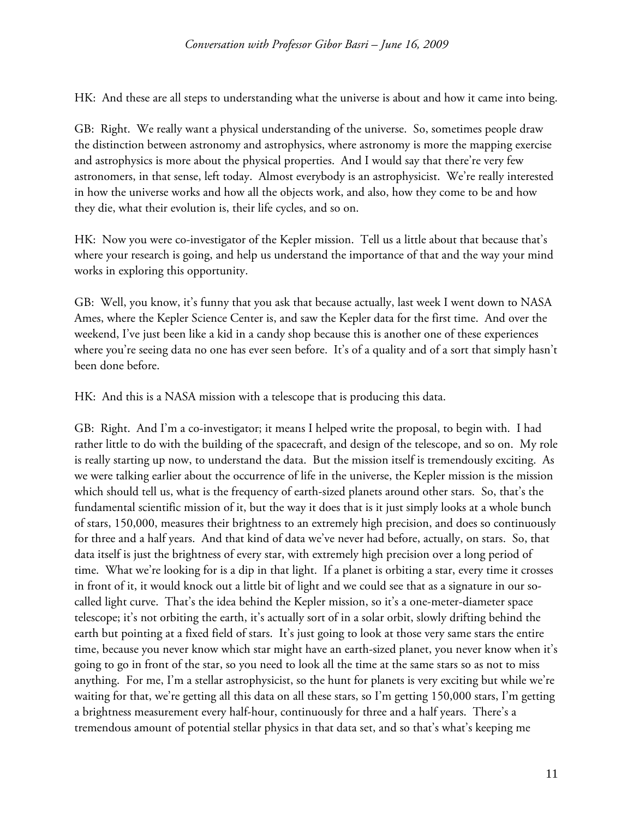HK: And these are all steps to understanding what the universe is about and how it came into being.

GB: Right. We really want a physical understanding of the universe. So, sometimes people draw the distinction between astronomy and astrophysics, where astronomy is more the mapping exercise and astrophysics is more about the physical properties. And I would say that there're very few astronomers, in that sense, left today. Almost everybody is an astrophysicist. We're really interested in how the universe works and how all the objects work, and also, how they come to be and how they die, what their evolution is, their life cycles, and so on.

HK: Now you were co-investigator of the Kepler mission. Tell us a little about that because that's where your research is going, and help us understand the importance of that and the way your mind works in exploring this opportunity.

GB: Well, you know, it's funny that you ask that because actually, last week I went down to NASA Ames, where the Kepler Science Center is, and saw the Kepler data for the first time. And over the weekend, I've just been like a kid in a candy shop because this is another one of these experiences where you're seeing data no one has ever seen before. It's of a quality and of a sort that simply hasn't been done before.

HK: And this is a NASA mission with a telescope that is producing this data.

GB: Right. And I'm a co-investigator; it means I helped write the proposal, to begin with. I had rather little to do with the building of the spacecraft, and design of the telescope, and so on. My role is really starting up now, to understand the data. But the mission itself is tremendously exciting. As we were talking earlier about the occurrence of life in the universe, the Kepler mission is the mission which should tell us, what is the frequency of earth-sized planets around other stars. So, that's the fundamental scientific mission of it, but the way it does that is it just simply looks at a whole bunch of stars, 150,000, measures their brightness to an extremely high precision, and does so continuously for three and a half years. And that kind of data we've never had before, actually, on stars. So, that data itself is just the brightness of every star, with extremely high precision over a long period of time. What we're looking for is a dip in that light. If a planet is orbiting a star, every time it crosses in front of it, it would knock out a little bit of light and we could see that as a signature in our socalled light curve. That's the idea behind the Kepler mission, so it's a one-meter-diameter space telescope; it's not orbiting the earth, it's actually sort of in a solar orbit, slowly drifting behind the earth but pointing at a fixed field of stars. It's just going to look at those very same stars the entire time, because you never know which star might have an earth-sized planet, you never know when it's going to go in front of the star, so you need to look all the time at the same stars so as not to miss anything. For me, I'm a stellar astrophysicist, so the hunt for planets is very exciting but while we're waiting for that, we're getting all this data on all these stars, so I'm getting 150,000 stars, I'm getting a brightness measurement every half-hour, continuously for three and a half years. There's a tremendous amount of potential stellar physics in that data set, and so that's what's keeping me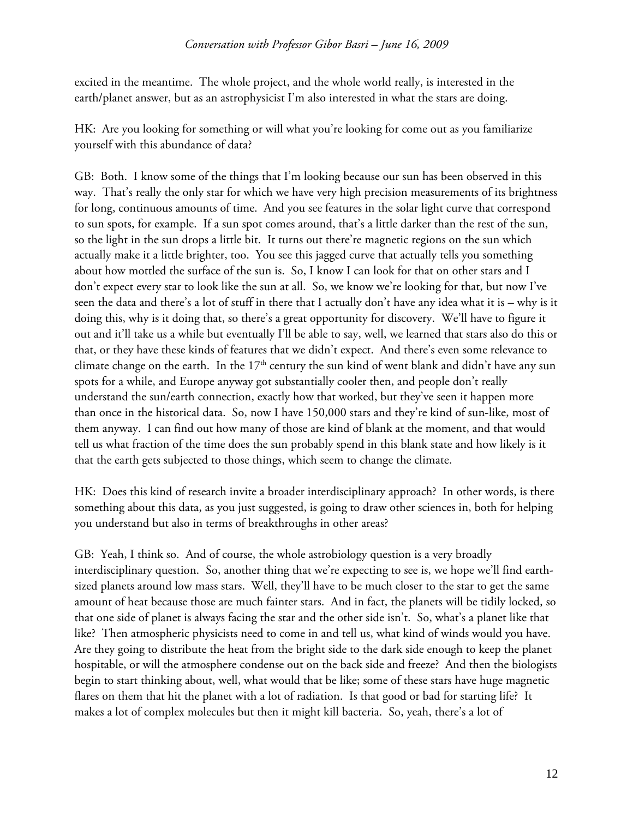excited in the meantime. The whole project, and the whole world really, is interested in the earth/planet answer, but as an astrophysicist I'm also interested in what the stars are doing.

HK: Are you looking for something or will what you're looking for come out as you familiarize yourself with this abundance of data?

GB: Both. I know some of the things that I'm looking because our sun has been observed in this way. That's really the only star for which we have very high precision measurements of its brightness for long, continuous amounts of time. And you see features in the solar light curve that correspond to sun spots, for example. If a sun spot comes around, that's a little darker than the rest of the sun, so the light in the sun drops a little bit. It turns out there're magnetic regions on the sun which actually make it a little brighter, too. You see this jagged curve that actually tells you something about how mottled the surface of the sun is. So, I know I can look for that on other stars and I don't expect every star to look like the sun at all. So, we know we're looking for that, but now I've seen the data and there's a lot of stuff in there that I actually don't have any idea what it is – why is it doing this, why is it doing that, so there's a great opportunity for discovery. We'll have to figure it out and it'll take us a while but eventually I'll be able to say, well, we learned that stars also do this or that, or they have these kinds of features that we didn't expect. And there's even some relevance to climate change on the earth. In the 17<sup>th</sup> century the sun kind of went blank and didn't have any sun spots for a while, and Europe anyway got substantially cooler then, and people don't really understand the sun/earth connection, exactly how that worked, but they've seen it happen more than once in the historical data. So, now I have 150,000 stars and they're kind of sun-like, most of them anyway. I can find out how many of those are kind of blank at the moment, and that would tell us what fraction of the time does the sun probably spend in this blank state and how likely is it that the earth gets subjected to those things, which seem to change the climate.

HK: Does this kind of research invite a broader interdisciplinary approach? In other words, is there something about this data, as you just suggested, is going to draw other sciences in, both for helping you understand but also in terms of breakthroughs in other areas?

GB: Yeah, I think so. And of course, the whole astrobiology question is a very broadly interdisciplinary question. So, another thing that we're expecting to see is, we hope we'll find earthsized planets around low mass stars. Well, they'll have to be much closer to the star to get the same amount of heat because those are much fainter stars. And in fact, the planets will be tidily locked, so that one side of planet is always facing the star and the other side isn't. So, what's a planet like that like? Then atmospheric physicists need to come in and tell us, what kind of winds would you have. Are they going to distribute the heat from the bright side to the dark side enough to keep the planet hospitable, or will the atmosphere condense out on the back side and freeze? And then the biologists begin to start thinking about, well, what would that be like; some of these stars have huge magnetic flares on them that hit the planet with a lot of radiation. Is that good or bad for starting life? It makes a lot of complex molecules but then it might kill bacteria. So, yeah, there's a lot of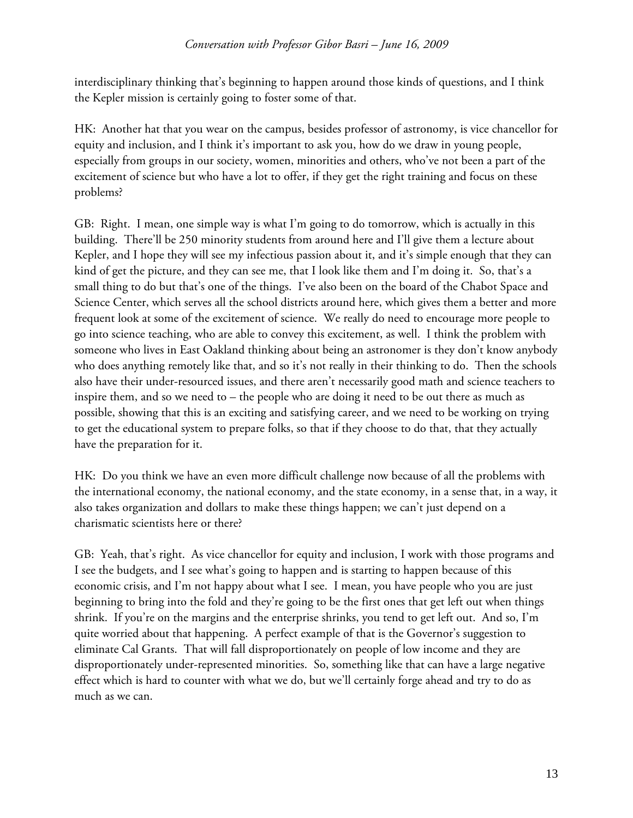interdisciplinary thinking that's beginning to happen around those kinds of questions, and I think the Kepler mission is certainly going to foster some of that.

HK: Another hat that you wear on the campus, besides professor of astronomy, is vice chancellor for equity and inclusion, and I think it's important to ask you, how do we draw in young people, especially from groups in our society, women, minorities and others, who've not been a part of the excitement of science but who have a lot to offer, if they get the right training and focus on these problems?

GB: Right. I mean, one simple way is what I'm going to do tomorrow, which is actually in this building. There'll be 250 minority students from around here and I'll give them a lecture about Kepler, and I hope they will see my infectious passion about it, and it's simple enough that they can kind of get the picture, and they can see me, that I look like them and I'm doing it. So, that's a small thing to do but that's one of the things. I've also been on the board of the Chabot Space and Science Center, which serves all the school districts around here, which gives them a better and more frequent look at some of the excitement of science. We really do need to encourage more people to go into science teaching, who are able to convey this excitement, as well. I think the problem with someone who lives in East Oakland thinking about being an astronomer is they don't know anybody who does anything remotely like that, and so it's not really in their thinking to do. Then the schools also have their under-resourced issues, and there aren't necessarily good math and science teachers to inspire them, and so we need to – the people who are doing it need to be out there as much as possible, showing that this is an exciting and satisfying career, and we need to be working on trying to get the educational system to prepare folks, so that if they choose to do that, that they actually have the preparation for it.

HK: Do you think we have an even more difficult challenge now because of all the problems with the international economy, the national economy, and the state economy, in a sense that, in a way, it also takes organization and dollars to make these things happen; we can't just depend on a charismatic scientists here or there?

GB: Yeah, that's right. As vice chancellor for equity and inclusion, I work with those programs and I see the budgets, and I see what's going to happen and is starting to happen because of this economic crisis, and I'm not happy about what I see. I mean, you have people who you are just beginning to bring into the fold and they're going to be the first ones that get left out when things shrink. If you're on the margins and the enterprise shrinks, you tend to get left out. And so, I'm quite worried about that happening. A perfect example of that is the Governor's suggestion to eliminate Cal Grants. That will fall disproportionately on people of low income and they are disproportionately under-represented minorities. So, something like that can have a large negative effect which is hard to counter with what we do, but we'll certainly forge ahead and try to do as much as we can.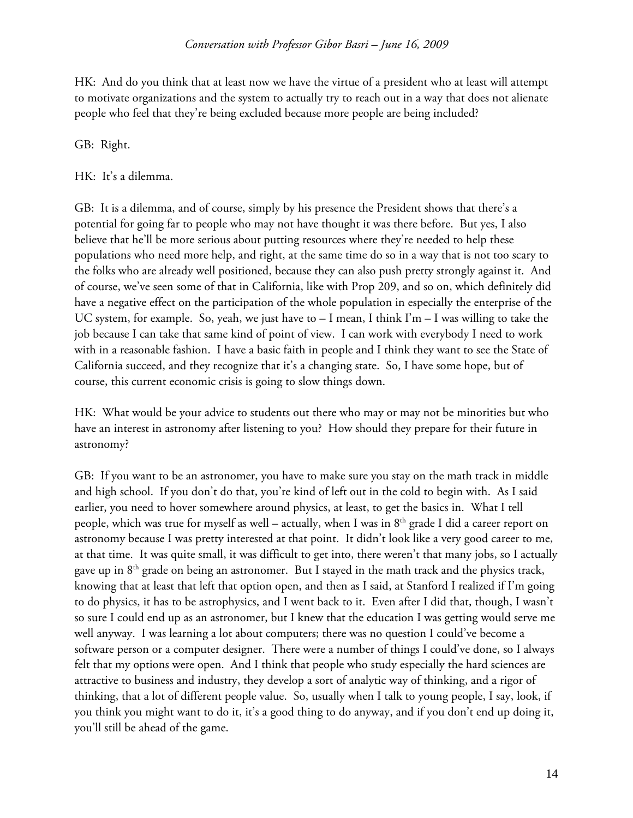HK: And do you think that at least now we have the virtue of a president who at least will attempt to motivate organizations and the system to actually try to reach out in a way that does not alienate people who feel that they're being excluded because more people are being included?

## GB: Right.

HK: It's a dilemma.

GB: It is a dilemma, and of course, simply by his presence the President shows that there's a potential for going far to people who may not have thought it was there before. But yes, I also believe that he'll be more serious about putting resources where they're needed to help these populations who need more help, and right, at the same time do so in a way that is not too scary to the folks who are already well positioned, because they can also push pretty strongly against it. And of course, we've seen some of that in California, like with Prop 209, and so on, which definitely did have a negative effect on the participation of the whole population in especially the enterprise of the UC system, for example. So, yeah, we just have to – I mean, I think I'm – I was willing to take the job because I can take that same kind of point of view. I can work with everybody I need to work with in a reasonable fashion. I have a basic faith in people and I think they want to see the State of California succeed, and they recognize that it's a changing state. So, I have some hope, but of course, this current economic crisis is going to slow things down.

HK: What would be your advice to students out there who may or may not be minorities but who have an interest in astronomy after listening to you? How should they prepare for their future in astronomy?

GB: If you want to be an astronomer, you have to make sure you stay on the math track in middle and high school. If you don't do that, you're kind of left out in the cold to begin with. As I said earlier, you need to hover somewhere around physics, at least, to get the basics in. What I tell people, which was true for myself as well – actually, when I was in  $8<sup>th</sup>$  grade I did a career report on astronomy because I was pretty interested at that point. It didn't look like a very good career to me, at that time. It was quite small, it was difficult to get into, there weren't that many jobs, so I actually gave up in  $8<sup>th</sup>$  grade on being an astronomer. But I stayed in the math track and the physics track, knowing that at least that left that option open, and then as I said, at Stanford I realized if I'm going to do physics, it has to be astrophysics, and I went back to it. Even after I did that, though, I wasn't so sure I could end up as an astronomer, but I knew that the education I was getting would serve me well anyway. I was learning a lot about computers; there was no question I could've become a software person or a computer designer. There were a number of things I could've done, so I always felt that my options were open. And I think that people who study especially the hard sciences are attractive to business and industry, they develop a sort of analytic way of thinking, and a rigor of thinking, that a lot of different people value. So, usually when I talk to young people, I say, look, if you think you might want to do it, it's a good thing to do anyway, and if you don't end up doing it, you'll still be ahead of the game.